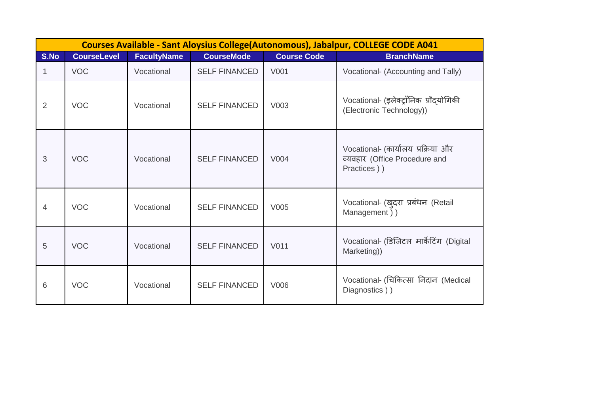|      | Courses Available - Sant Aloysius College(Autonomous), Jabalpur, COLLEGE CODE A041 |                    |                      |                    |                                                                                    |  |  |  |  |  |
|------|------------------------------------------------------------------------------------|--------------------|----------------------|--------------------|------------------------------------------------------------------------------------|--|--|--|--|--|
| S.No | <b>CourseLevel</b>                                                                 | <b>FacultyName</b> | <b>CourseMode</b>    | <b>Course Code</b> | <b>BranchName</b>                                                                  |  |  |  |  |  |
|      | <b>VOC</b>                                                                         | Vocational         | <b>SELF FINANCED</b> | V001               | Vocational- (Accounting and Tally)                                                 |  |  |  |  |  |
| 2    | <b>VOC</b>                                                                         | Vocational         | <b>SELF FINANCED</b> | V003               | Vocational- (इलेक्ट्रॉनिक प्रौदयोगिकी<br>(Electronic Technology))                  |  |  |  |  |  |
| 3    | <b>VOC</b>                                                                         | Vocational         | <b>SELF FINANCED</b> | V004               | Vocational- (कार्यालय प्रक्रिया और<br>व्यवहार (Office Procedure and<br>Practices)) |  |  |  |  |  |
| 4    | <b>VOC</b>                                                                         | Vocational         | <b>SELF FINANCED</b> | V005               | Vocational- (खुदरा प्रबंधन (Retail<br>Management))                                 |  |  |  |  |  |
| 5    | <b>VOC</b>                                                                         | Vocational         | <b>SELF FINANCED</b> | V011               | Vocational- (डिजिटल मार्केटिंग (Digital<br>Marketing))                             |  |  |  |  |  |
| 6    | <b>VOC</b>                                                                         | Vocational         | <b>SELF FINANCED</b> | V006               | Vocational- (चिकित्सा निदान (Medical<br>Diagnostics))                              |  |  |  |  |  |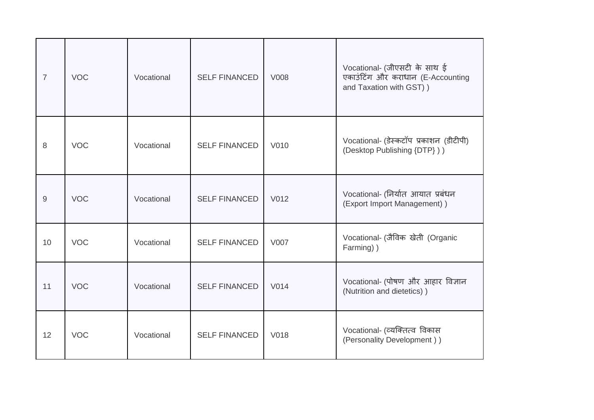| $\overline{7}$ | <b>VOC</b> | Vocational | <b>SELF FINANCED</b> | V008 | Vocational- (जीएसटी के साथ ई<br>एकाउंटिंग और कराधान (E-Accounting<br>and Taxation with GST) ) |
|----------------|------------|------------|----------------------|------|-----------------------------------------------------------------------------------------------|
| 8              | <b>VOC</b> | Vocational | <b>SELF FINANCED</b> | V010 | Vocational- (डेस्कटॉप प्रकाशन (डीटीपी)<br>(Desktop Publishing {DTP}))                         |
| 9              | <b>VOC</b> | Vocational | <b>SELF FINANCED</b> | V012 | Vocational- (निर्यात आयात प्रबंधन<br>(Export Import Management))                              |
| 10             | <b>VOC</b> | Vocational | <b>SELF FINANCED</b> | V007 | Vocational- (जैविक खेती (Organic<br>Farming))                                                 |
| 11             | <b>VOC</b> | Vocational | <b>SELF FINANCED</b> | V014 | Vocational- (पोषण और आहार विज्ञान<br>(Nutrition and dietetics))                               |
| 12             | <b>VOC</b> | Vocational | <b>SELF FINANCED</b> | V018 | Vocational- (व्यक्तित्व विकास<br>(Personality Development))                                   |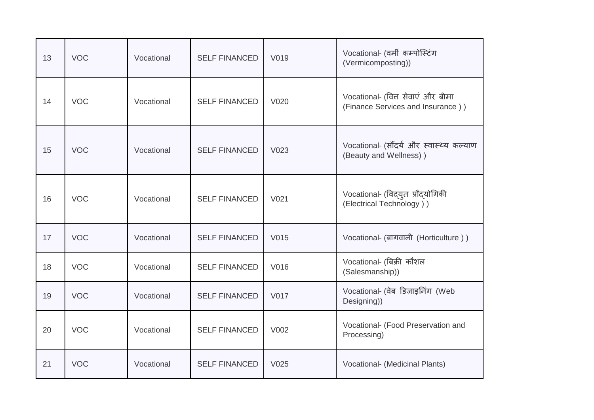| 13 | <b>VOC</b> | Vocational | <b>SELF FINANCED</b> | V019             | Vocational- (वर्मी कम्पोस्टिंग<br>(Vermicomposting))                   |
|----|------------|------------|----------------------|------------------|------------------------------------------------------------------------|
| 14 | <b>VOC</b> | Vocational | <b>SELF FINANCED</b> | V020             | Vocational- (वित्त सेवाएं और बीमा<br>(Finance Services and Insurance)) |
| 15 | <b>VOC</b> | Vocational | <b>SELF FINANCED</b> | V023             | Vocational- (सौंदर्य और स्वास्थ्य कल्याण<br>(Beauty and Wellness))     |
| 16 | <b>VOC</b> | Vocational | <b>SELF FINANCED</b> | V <sub>021</sub> | Vocational- (विद्युत प्रौद्योगिकी<br>(Electrical Technology))          |
| 17 | <b>VOC</b> | Vocational | <b>SELF FINANCED</b> | V015             | Vocational- (बागवानी (Horticulture))                                   |
| 18 | <b>VOC</b> | Vocational | <b>SELF FINANCED</b> | V016             | Vocational- (बिक्री कौशल<br>(Salesmanship))                            |
| 19 | <b>VOC</b> | Vocational | <b>SELF FINANCED</b> | V017             | Vocational- (वेब डिजाइनिंग (Web<br>Designing))                         |
| 20 | <b>VOC</b> | Vocational | <b>SELF FINANCED</b> | V002             | Vocational- (Food Preservation and<br>Processing)                      |
| 21 | <b>VOC</b> | Vocational | <b>SELF FINANCED</b> | V025             | Vocational- (Medicinal Plants)                                         |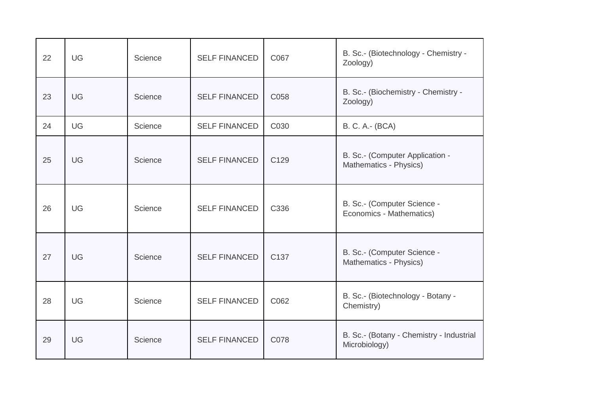| 22 | UG | Science | <b>SELF FINANCED</b> | C067             | B. Sc.- (Biotechnology - Chemistry -<br>Zoology)          |
|----|----|---------|----------------------|------------------|-----------------------------------------------------------|
| 23 | UG | Science | <b>SELF FINANCED</b> | C058             | B. Sc.- (Biochemistry - Chemistry -<br>Zoology)           |
| 24 | UG | Science | <b>SELF FINANCED</b> | C030             | B. C. A.- (BCA)                                           |
| 25 | UG | Science | <b>SELF FINANCED</b> | C <sub>129</sub> | B. Sc.- (Computer Application -<br>Mathematics - Physics) |
| 26 | UG | Science | <b>SELF FINANCED</b> | C336             | B. Sc.- (Computer Science -<br>Economics - Mathematics)   |
| 27 | UG | Science | <b>SELF FINANCED</b> | C <sub>137</sub> | B. Sc.- (Computer Science -<br>Mathematics - Physics)     |
| 28 | UG | Science | <b>SELF FINANCED</b> | C062             | B. Sc.- (Biotechnology - Botany -<br>Chemistry)           |
| 29 | UG | Science | <b>SELF FINANCED</b> | C078             | B. Sc.- (Botany - Chemistry - Industrial<br>Microbiology) |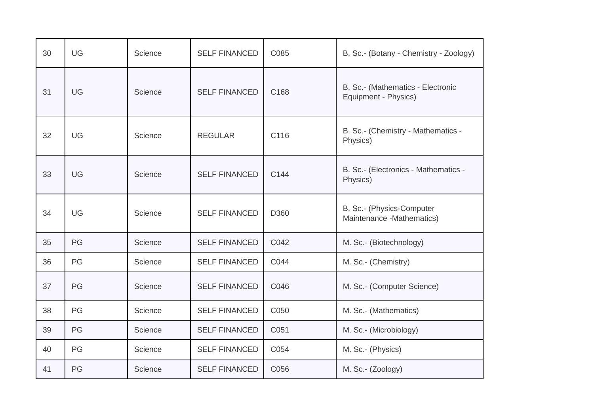| 30 | <b>UG</b> | Science | <b>SELF FINANCED</b> | C085 | B. Sc.- (Botany - Chemistry - Zoology)                    |
|----|-----------|---------|----------------------|------|-----------------------------------------------------------|
| 31 | <b>UG</b> | Science | <b>SELF FINANCED</b> | C168 | B. Sc.- (Mathematics - Electronic<br>Equipment - Physics) |
| 32 | UG        | Science | <b>REGULAR</b>       | C116 | B. Sc.- (Chemistry - Mathematics -<br>Physics)            |
| 33 | <b>UG</b> | Science | <b>SELF FINANCED</b> | C144 | B. Sc.- (Electronics - Mathematics -<br>Physics)          |
| 34 | UG        | Science | <b>SELF FINANCED</b> | D360 | B. Sc.- (Physics-Computer<br>Maintenance -Mathematics)    |
| 35 | PG        | Science | <b>SELF FINANCED</b> | C042 | M. Sc.- (Biotechnology)                                   |
| 36 | PG        | Science | <b>SELF FINANCED</b> | C044 | M. Sc.- (Chemistry)                                       |
| 37 | PG        | Science | <b>SELF FINANCED</b> | C046 | M. Sc.- (Computer Science)                                |
| 38 | PG        | Science | <b>SELF FINANCED</b> | C050 | M. Sc.- (Mathematics)                                     |
| 39 | PG        | Science | <b>SELF FINANCED</b> | C051 | M. Sc.- (Microbiology)                                    |
| 40 | PG        | Science | <b>SELF FINANCED</b> | C054 | M. Sc.- (Physics)                                         |
| 41 | PG        | Science | <b>SELF FINANCED</b> | C056 | M. Sc.- (Zoology)                                         |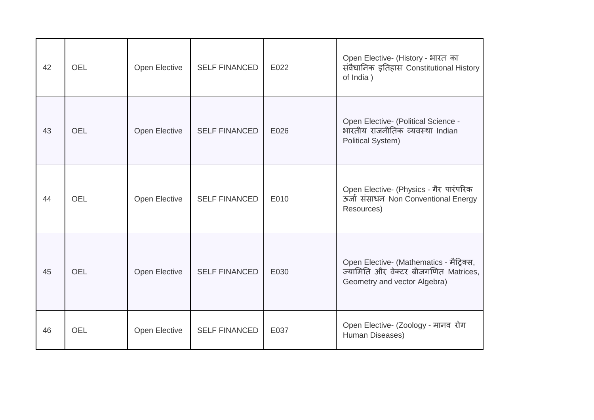| 42 | <b>OEL</b> | Open Elective | <b>SELF FINANCED</b> | E022 | Open Elective- (History - भारत का<br>संवैधानिक इतिहास Constitutional History<br>of India)                        |
|----|------------|---------------|----------------------|------|------------------------------------------------------------------------------------------------------------------|
| 43 | <b>OEL</b> | Open Elective | <b>SELF FINANCED</b> | E026 | Open Elective- (Political Science -<br>भारतीय राजनीतिक व्यवस्था Indian<br><b>Political System)</b>               |
| 44 | OEL        | Open Elective | <b>SELF FINANCED</b> | E010 | Open Elective- (Physics - गैर पारंपरिक<br>ऊर्जा संसाधन Non Conventional Energy<br>Resources)                     |
| 45 | <b>OEL</b> | Open Elective | <b>SELF FINANCED</b> | E030 | Open Elective- (Mathematics - मैट्रिक्स,<br>ज्यामिति और वेक्टर बीजगणित Matrices,<br>Geometry and vector Algebra) |
| 46 | <b>OEL</b> | Open Elective | <b>SELF FINANCED</b> | E037 | Open Elective- (Zoology - मानव रोग<br>Human Diseases)                                                            |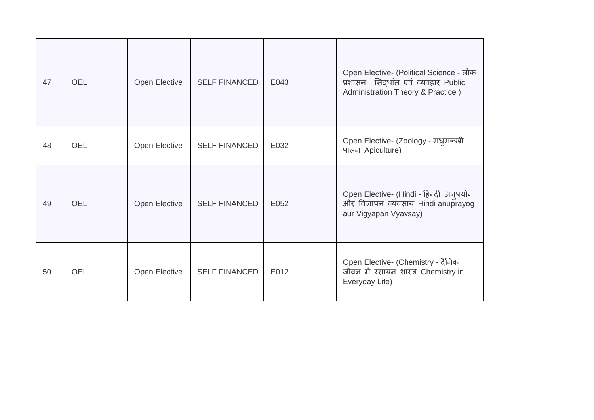| 47 | <b>OEL</b> | Open Elective | <b>SELF FINANCED</b> | E043 | Open Elective- (Political Science - लोक<br>प्रशासन: सिद्धांत एवं व्यवहार Public<br>Administration Theory & Practice) |
|----|------------|---------------|----------------------|------|----------------------------------------------------------------------------------------------------------------------|
| 48 | <b>OEL</b> | Open Elective | <b>SELF FINANCED</b> | E032 | Open Elective- (Zoology - मध् मक्खी<br>पालन Apiculture)                                                              |
| 49 | <b>OEL</b> | Open Elective | <b>SELF FINANCED</b> | E052 | Open Elective- (Hindi - हिन्दी अनुप्रयोग<br>और विज्ञापन व्यवसाय Hindi anuprayog<br>aur Vigyapan Vyavsay)             |
| 50 | <b>OEL</b> | Open Elective | <b>SELF FINANCED</b> | E012 | Open Elective- (Chemistry - दैनिक<br>जीवन में रसायन शास्त्र Chemistry in<br>Everyday Life)                           |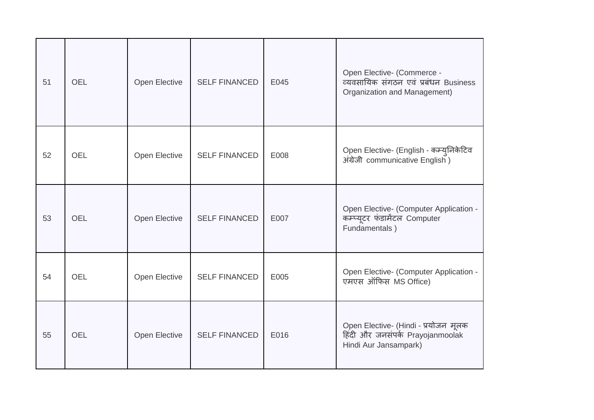| 51 | <b>OEL</b> | Open Elective | <b>SELF FINANCED</b> | E045 | Open Elective- (Commerce -<br>व्यवसायिक संगठन एवं प्रबंधन Business<br>Organization and Management) |
|----|------------|---------------|----------------------|------|----------------------------------------------------------------------------------------------------|
| 52 | OEL        | Open Elective | <b>SELF FINANCED</b> | E008 | Open Elective- (English - कम्युनिकेटिव<br>अंग्रेजी communicative English)                          |
| 53 | <b>OEL</b> | Open Elective | <b>SELF FINANCED</b> | E007 | Open Elective- (Computer Application -<br>कम्प्यूटर फंडामेंटल Computer<br>Fundamentals)            |
| 54 | <b>OEL</b> | Open Elective | <b>SELF FINANCED</b> | E005 | Open Elective- (Computer Application -<br>एमएस ऑफिस MS Office)                                     |
| 55 | <b>OEL</b> | Open Elective | <b>SELF FINANCED</b> | E016 | Open Elective- (Hindi - प्रयोजन मूलक<br>हिंदी और जनसंपर्क Prayojanmoolak<br>Hindi Aur Jansampark)  |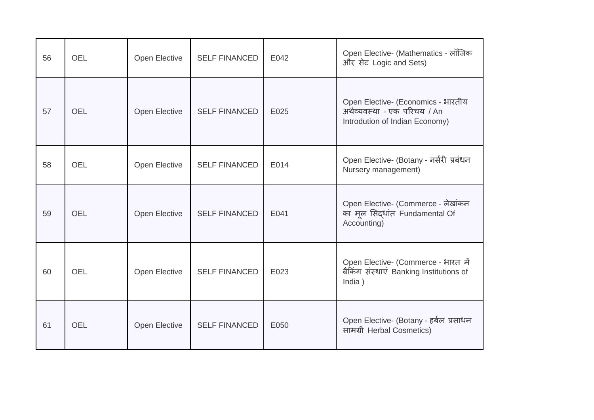| 56 | OEL        | Open Elective        | <b>SELF FINANCED</b> | E042 | Open Elective- (Mathematics - लॉजिक<br>और सेट Logic and Sets)                                        |
|----|------------|----------------------|----------------------|------|------------------------------------------------------------------------------------------------------|
| 57 | <b>OEL</b> | Open Elective        | <b>SELF FINANCED</b> | E025 | Open Elective- (Economics - भारतीय<br>अर्थव्यवस्था - एक परिचय / An<br>Introdution of Indian Economy) |
| 58 | <b>OEL</b> | Open Elective        | <b>SELF FINANCED</b> | E014 | Open Elective- (Botany - नर्सरी प्रबंधन<br>Nursery management)                                       |
| 59 | <b>OEL</b> | Open Elective        | <b>SELF FINANCED</b> | E041 | Open Elective- (Commerce - लेखांकन<br>का मूल सिद्धांत Fundamental Of<br>Accounting)                  |
| 60 | OEL        | Open Elective        | <b>SELF FINANCED</b> | E023 | Open Elective- (Commerce - भारत में<br>बैकिंग संस्थाएं Banking Institutions of<br>India)             |
| 61 | <b>OEL</b> | <b>Open Elective</b> | <b>SELF FINANCED</b> | E050 | Open Elective- (Botany - हर्बल प्रसाधन<br>सामग्री Herbal Cosmetics)                                  |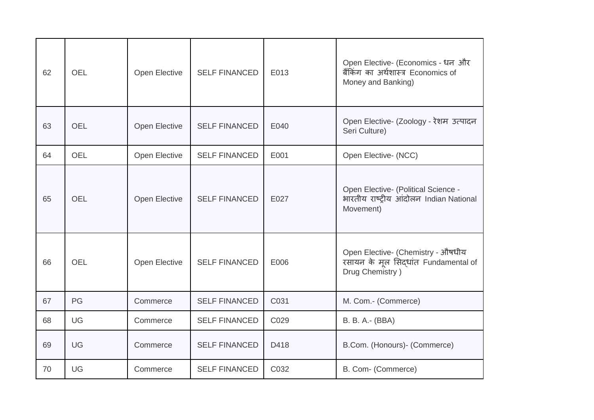| 62 | <b>OEL</b> | Open Elective | <b>SELF FINANCED</b> | E013 | Open Elective- (Economics - धन और<br>बैंकिंग का अर्थशास्त्र Economics of<br>Money and Banking) |
|----|------------|---------------|----------------------|------|------------------------------------------------------------------------------------------------|
| 63 | <b>OEL</b> | Open Elective | <b>SELF FINANCED</b> | E040 | Open Elective- (Zoology - रेशम उत्पादन<br>Seri Culture)                                        |
| 64 | <b>OEL</b> | Open Elective | <b>SELF FINANCED</b> | E001 | Open Elective- (NCC)                                                                           |
| 65 | <b>OEL</b> | Open Elective | <b>SELF FINANCED</b> | E027 | Open Elective- (Political Science -<br>भारतीय राष्ट्रीय आंदोलन Indian National<br>Movement)    |
| 66 | <b>OEL</b> | Open Elective | <b>SELF FINANCED</b> | E006 | Open Elective- (Chemistry - ओषधीय<br>रसायन के मूल सिद्धांत Fundamental of<br>Drug Chemistry)   |
| 67 | PG         | Commerce      | <b>SELF FINANCED</b> | C031 | M. Com.- (Commerce)                                                                            |
| 68 | UG         | Commerce      | <b>SELF FINANCED</b> | C029 | B. B. A.- (BBA)                                                                                |
| 69 | UG         | Commerce      | <b>SELF FINANCED</b> | D418 | B.Com. (Honours)- (Commerce)                                                                   |
| 70 | UG         | Commerce      | <b>SELF FINANCED</b> | C032 | B. Com- (Commerce)                                                                             |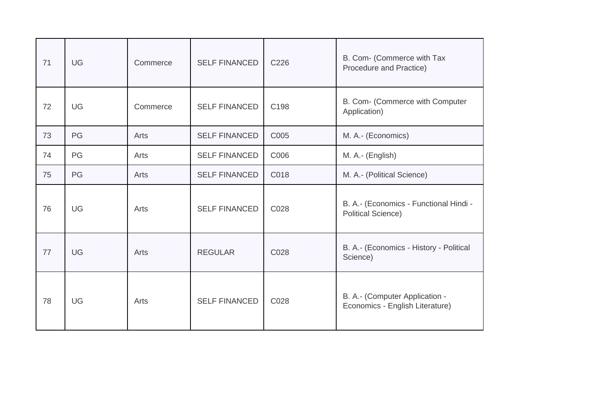| 71 | UG        | Commerce | <b>SELF FINANCED</b> | C226 | B. Com- (Commerce with Tax<br>Procedure and Practice)               |
|----|-----------|----------|----------------------|------|---------------------------------------------------------------------|
| 72 | <b>UG</b> | Commerce | <b>SELF FINANCED</b> | C198 | B. Com- (Commerce with Computer<br>Application)                     |
| 73 | PG        | Arts     | <b>SELF FINANCED</b> | C005 | M. A.- (Economics)                                                  |
| 74 | PG        | Arts     | <b>SELF FINANCED</b> | C006 | M. A.- (English)                                                    |
| 75 | PG        | Arts     | <b>SELF FINANCED</b> | C018 | M. A.- (Political Science)                                          |
| 76 | <b>UG</b> | Arts     | <b>SELF FINANCED</b> | C028 | B. A.- (Economics - Functional Hindi -<br><b>Political Science)</b> |
| 77 | UG        | Arts     | <b>REGULAR</b>       | C028 | B. A.- (Economics - History - Political<br>Science)                 |
| 78 | <b>UG</b> | Arts     | <b>SELF FINANCED</b> | C028 | B. A.- (Computer Application -<br>Economics - English Literature)   |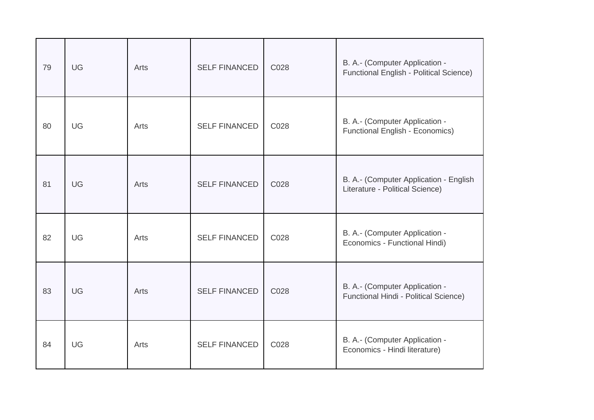| 79 | UG | Arts | <b>SELF FINANCED</b> | C028 | B. A.- (Computer Application -<br><b>Functional English - Political Science)</b> |
|----|----|------|----------------------|------|----------------------------------------------------------------------------------|
| 80 | UG | Arts | <b>SELF FINANCED</b> | C028 | B. A.- (Computer Application -<br><b>Functional English - Economics)</b>         |
| 81 | UG | Arts | <b>SELF FINANCED</b> | C028 | B. A.- (Computer Application - English<br>Literature - Political Science)        |
| 82 | UG | Arts | <b>SELF FINANCED</b> | C028 | B. A.- (Computer Application -<br>Economics - Functional Hindi)                  |
| 83 | UG | Arts | <b>SELF FINANCED</b> | C028 | B. A.- (Computer Application -<br>Functional Hindi - Political Science)          |
| 84 | UG | Arts | <b>SELF FINANCED</b> | C028 | B. A.- (Computer Application -<br>Economics - Hindi literature)                  |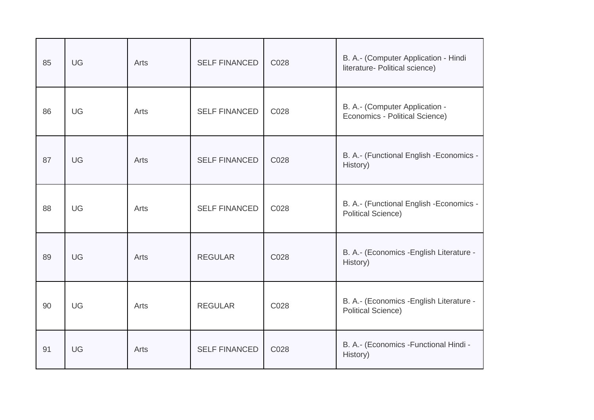| 85 | UG        | Arts | <b>SELF FINANCED</b> | C028 | B. A.- (Computer Application - Hindi<br>literature- Political science) |
|----|-----------|------|----------------------|------|------------------------------------------------------------------------|
| 86 | <b>UG</b> | Arts | <b>SELF FINANCED</b> | C028 | B. A.- (Computer Application -<br>Economics - Political Science)       |
| 87 | <b>UG</b> | Arts | <b>SELF FINANCED</b> | C028 | B. A.- (Functional English - Economics -<br>History)                   |
| 88 | UG        | Arts | <b>SELF FINANCED</b> | C028 | B. A.- (Functional English -Economics -<br><b>Political Science)</b>   |
| 89 | UG        | Arts | <b>REGULAR</b>       | C028 | B. A.- (Economics - English Literature -<br>History)                   |
| 90 | UG        | Arts | <b>REGULAR</b>       | C028 | B. A.- (Economics - English Literature -<br><b>Political Science)</b>  |
| 91 | UG        | Arts | <b>SELF FINANCED</b> | C028 | B. A.- (Economics - Functional Hindi -<br>History)                     |